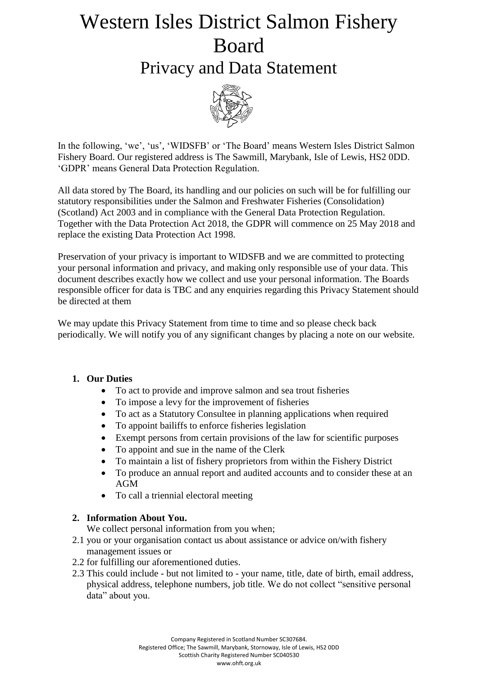# Western Isles District Salmon Fishery Board

### Privacy and Data Statement



In the following, 'we', 'us', 'WIDSFB' or 'The Board' means Western Isles District Salmon Fishery Board. Our registered address is The Sawmill, Marybank, Isle of Lewis, HS2 0DD. 'GDPR' means General Data Protection Regulation.

All data stored by The Board, its handling and our policies on such will be for fulfilling our statutory responsibilities under the Salmon and Freshwater Fisheries (Consolidation) (Scotland) Act 2003 and in compliance with the General Data Protection Regulation. Together with the Data Protection Act 2018, the GDPR will commence on 25 May 2018 and replace the existing Data Protection Act 1998.

Preservation of your privacy is important to WIDSFB and we are committed to protecting your personal information and privacy, and making only responsible use of your data. This document describes exactly how we collect and use your personal information. The Boards responsible officer for data is TBC and any enquiries regarding this Privacy Statement should be directed at them

We may update this Privacy Statement from time to time and so please check back periodically. We will notify you of any significant changes by placing a note on our website.

#### **1. Our Duties**

- To act to provide and improve salmon and sea trout fisheries
- To impose a levy for the improvement of fisheries
- To act as a Statutory Consultee in planning applications when required
- To appoint bailiffs to enforce fisheries legislation
- Exempt persons from certain provisions of the law for scientific purposes
- To appoint and sue in the name of the Clerk
- To maintain a list of fishery proprietors from within the Fishery District
- To produce an annual report and audited accounts and to consider these at an AGM
- To call a triennial electoral meeting

#### **2. Information About You.**

We collect personal information from you when;

- 2.1 you or your organisation contact us about assistance or advice on/with fishery management issues or
- 2.2 for fulfilling our aforementioned duties.
- 2.3 This could include but not limited to your name, title, date of birth, email address, physical address, telephone numbers, job title. We do not collect "sensitive personal data" about you.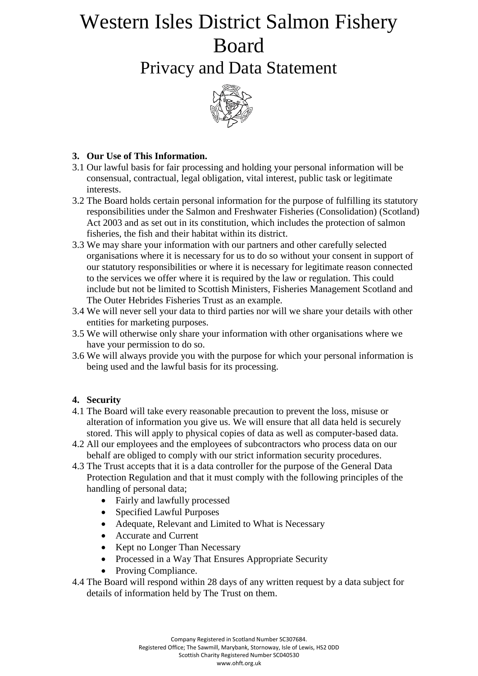## Western Isles District Salmon Fishery Board

Privacy and Data Statement



#### **3. Our Use of This Information.**

- 3.1 Our lawful basis for fair processing and holding your personal information will be consensual, contractual, legal obligation, vital interest, public task or legitimate interests.
- 3.2 The Board holds certain personal information for the purpose of fulfilling its statutory responsibilities under the Salmon and Freshwater Fisheries (Consolidation) (Scotland) Act 2003 and as set out in its constitution, which includes the protection of salmon fisheries, the fish and their habitat within its district.
- 3.3 We may share your information with our partners and other carefully selected organisations where it is necessary for us to do so without your consent in support of our statutory responsibilities or where it is necessary for legitimate reason connected to the services we offer where it is required by the law or regulation. This could include but not be limited to Scottish Ministers, Fisheries Management Scotland and The Outer Hebrides Fisheries Trust as an example.
- 3.4 We will never sell your data to third parties nor will we share your details with other entities for marketing purposes.
- 3.5 We will otherwise only share your information with other organisations where we have your permission to do so.
- 3.6 We will always provide you with the purpose for which your personal information is being used and the lawful basis for its processing.

#### **4. Security**

- 4.1 The Board will take every reasonable precaution to prevent the loss, misuse or alteration of information you give us. We will ensure that all data held is securely stored. This will apply to physical copies of data as well as computer-based data.
- 4.2 All our employees and the employees of subcontractors who process data on our behalf are obliged to comply with our strict information security procedures.
- 4.3 The Trust accepts that it is a data controller for the purpose of the General Data Protection Regulation and that it must comply with the following principles of the handling of personal data;
	- Fairly and lawfully processed
	- Specified Lawful Purposes
	- Adequate, Relevant and Limited to What is Necessary
	- Accurate and Current
	- Kept no Longer Than Necessary
	- Processed in a Way That Ensures Appropriate Security
	- Proving Compliance.
- 4.4 The Board will respond within 28 days of any written request by a data subject for details of information held by The Trust on them.